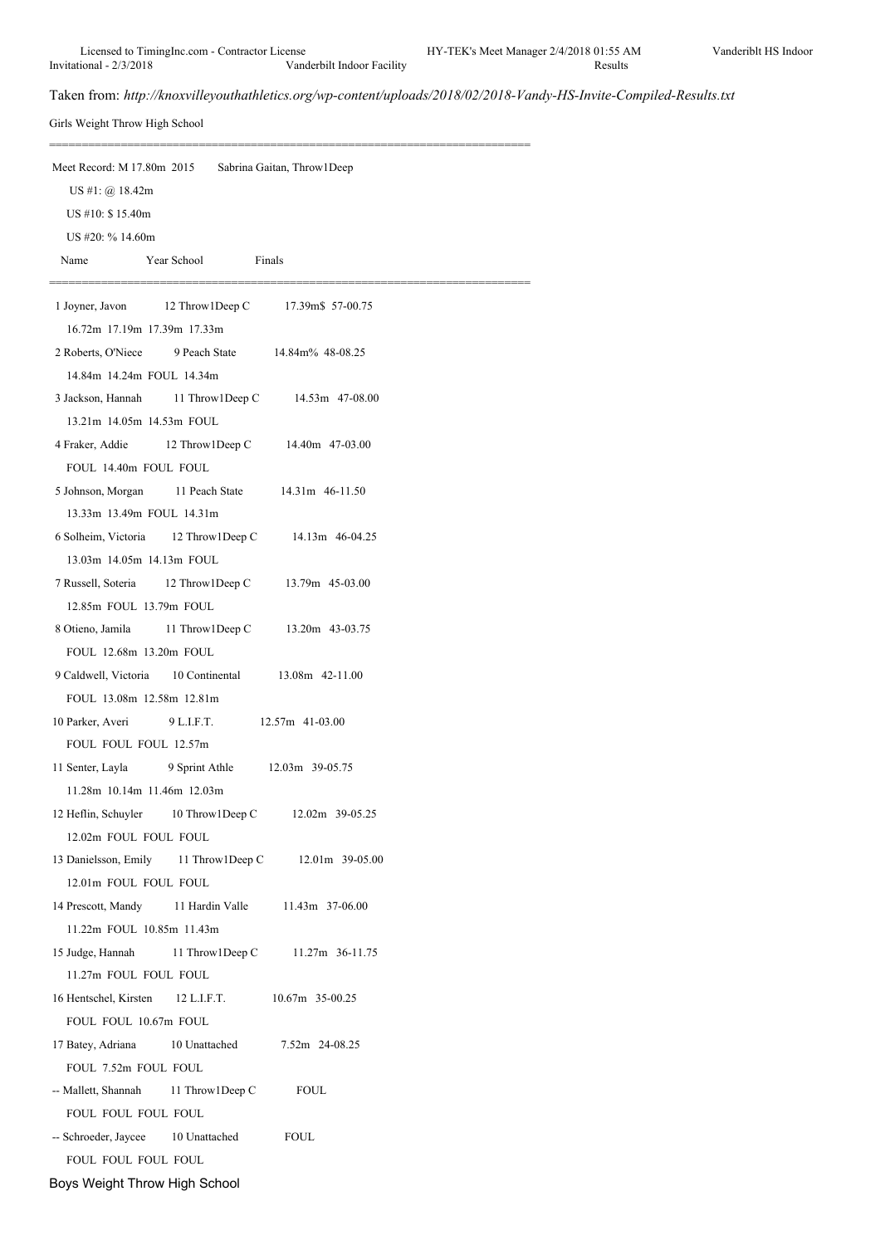==========================================================================

Taken from: *http://knoxvilleyouthathletics.org/wp-content/uploads/2018/02/2018-Vandy-HS-Invite-Compiled-Results.txt*

Girls Weight Throw High School

| Meet Record: M 17.80m 2015<br>Sabrina Gaitan, Throw 1 Deep                       |
|----------------------------------------------------------------------------------|
| US #1: $\omega$ 18.42m                                                           |
| US #10: \$15.40m                                                                 |
| US #20: % 14.60m                                                                 |
| Year School<br>Finals<br>Name                                                    |
| 1 Joyner, Javon<br>12 Throw1Deep C 17.39m\$ 57-00.75                             |
| 16.72m 17.19m 17.39m 17.33m                                                      |
| 2 Roberts, O'Niece 9 Peach State 14.84m% 48-08.25                                |
| 14.84m 14.24m FOUL 14.34m                                                        |
| 3 Jackson, Hannah 11 Throw1Deep C 14.53m 47-08.00                                |
| 13.21m 14.05m 14.53m FOUL                                                        |
| 4 Fraker, Addie 12 Throw 1 Deep C 14.40m 47-03.00                                |
| FOUL 14.40m FOUL FOUL                                                            |
| 5 Johnson, Morgan 11 Peach State 14.31m 46-11.50                                 |
| 13.33m 13.49m FOUL 14.31m                                                        |
| 6 Solheim, Victoria 12 Throw 1 Deep C 14.13m 46-04.25                            |
| 13.03m 14.05m 14.13m FOUL                                                        |
| 7 Russell, Soteria 12 Throw 1 Deep C<br>13.79m 45-03.00                          |
| 12.85m FOUL 13.79m FOUL                                                          |
| 8 Otieno, Jamila<br>11 Throw1Deep C 13.20m 43-03.75                              |
| FOUL 12.68m 13.20m FOUL                                                          |
| 9 Caldwell, Victoria 10 Continental 13.08m 42-11.00                              |
| FOUL 13.08m 12.58m 12.81m                                                        |
| 10 Parker, Averi<br>9 L.I.F.T. 12.57m 41-03.00                                   |
| FOUL FOUL FOUL 12.57m                                                            |
| 11 Senter, Layla<br>9 Sprint Athle 12.03m 39-05.75                               |
| 11.28m 10.14m 11.46m 12.03m                                                      |
| 12 Heflin, Schuyler 10 Throw1 Deep C<br>12.02m 39-05.25                          |
| 12.02m FOUL FOUL FOUL                                                            |
| 13 Danielsson, Emily 11 Throw1Deep C<br>12.01m 39-05.00                          |
| 12.01m FOUL FOUL FOUL                                                            |
| 11 Hardin Valle<br>14 Prescott, Mandy<br>11.43m 37-06.00                         |
| 11.22m FOUL 10.85m 11.43m                                                        |
| 15 Judge, Hannah<br>11 Throw1Deep C<br>11.27m 36-11.75                           |
| 11.27m FOUL FOUL FOUL<br>16 Hentschel, Kirsten<br>10.67m 35-00.25<br>12 L.I.F.T. |
| FOUL FOUL 10.67m FOUL                                                            |
| 10 Unattached<br>17 Batey, Adriana<br>7.52m 24-08.25                             |
| FOUL 7.52m FOUL FOUL                                                             |
| -- Mallett, Shannah 11 Throw 1 Deep C<br><b>FOUL</b>                             |
| FOUL FOUL FOUL FOUL                                                              |
| -- Schroeder, Jaycee 10 Unattached<br><b>FOUL</b>                                |
| FOUL FOUL FOUL FOUL                                                              |
| Boys Weight Throw High School                                                    |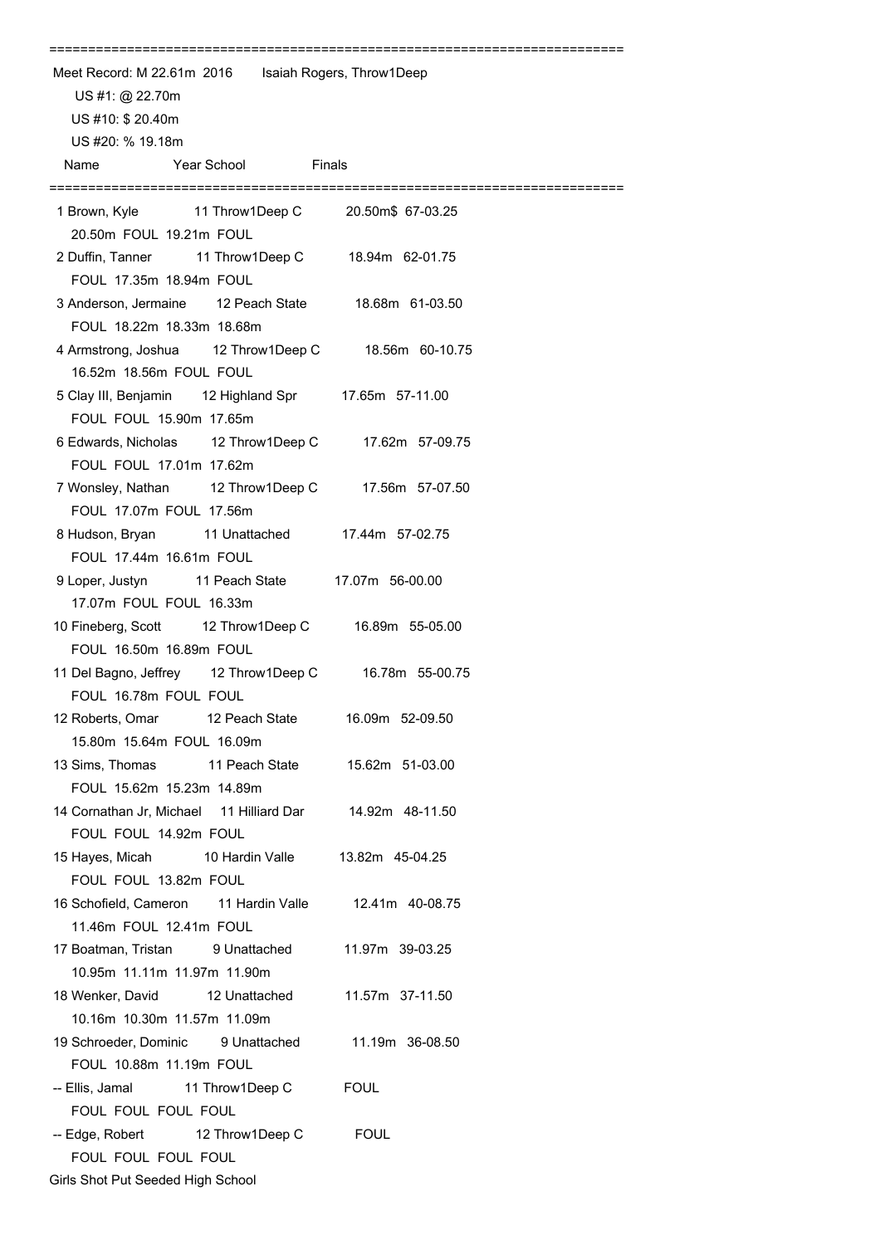| Meet Record: M 22.61m 2016   Isaiah Rogers, Throw1Deep            |                                          |                                                       |  |
|-------------------------------------------------------------------|------------------------------------------|-------------------------------------------------------|--|
| US #1: @ 22.70m                                                   |                                          |                                                       |  |
| US #10: \$ 20.40m                                                 |                                          |                                                       |  |
| US #20: % 19.18m                                                  |                                          |                                                       |  |
| Name                                                              | <b>The School Contract School</b> Pinals |                                                       |  |
|                                                                   |                                          |                                                       |  |
| 20.50m FOUL 19.21m FOUL                                           |                                          |                                                       |  |
| FOUL 17.35m 18.94m FOUL                                           |                                          | 2 Duffin, Tanner 11 Throw1Deep C 18.94m 62-01.75      |  |
| FOUL 18.22m 18.33m 18.68m                                         |                                          | 3 Anderson, Jermaine 12 Peach State 18.68m 61-03.50   |  |
| 16.52m 18.56m FOUL FOUL                                           |                                          | 4 Armstrong, Joshua 12 Throw1Deep C 18.56m 60-10.75   |  |
| FOUL FOUL 15.90m 17.65m                                           |                                          | 5 Clay III, Benjamin 12 Highland Spr 17.65m 57-11.00  |  |
| FOUL FOUL 17.01m 17.62m                                           |                                          | 6 Edwards, Nicholas 12 Throw1Deep C 17.62m 57-09.75   |  |
| FOUL 17.07m FOUL 17.56m                                           |                                          | 7 Wonsley, Nathan 12 Throw1Deep C 17.56m 57-07.50     |  |
| FOUL 17.44m 16.61m FOUL                                           |                                          | 8 Hudson, Bryan 11 Unattached 17.44m 57-02.75         |  |
| 17.07m FOUL FOUL 16.33m                                           |                                          | 9 Loper, Justyn 11 Peach State 17.07m 56-00.00        |  |
| FOUL 16.50m 16.89m FOUL                                           |                                          | 10 Fineberg, Scott 12 Throw1Deep C 16.89m 55-05.00    |  |
| FOUL 16.78m FOUL FOUL                                             |                                          | 11 Del Bagno, Jeffrey 12 Throw1Deep C 16.78m 55-00.75 |  |
| 12 Roberts, Omar<br>15.80m 15.64m FOUL 16.09m                     | 12 Peach State                           | 16.09m 52-09.50                                       |  |
| 13 Sims, Thomas<br>FOUL 15.62m 15.23m 14.89m                      | 11 Peach State                           | 15.62m 51-03.00                                       |  |
| 14 Cornathan Jr, Michael 11 Hilliard Dar<br>FOUL FOUL 14.92m FOUL |                                          | 14.92m 48-11.50                                       |  |
| 15 Hayes, Micah 10 Hardin Valle<br>FOUL FOUL 13.82m FOUL          |                                          | 13.82m 45-04.25                                       |  |
| 16 Schofield, Cameron 11 Hardin Valle<br>11.46m FOUL 12.41m FOUL  |                                          | 12.41m 40-08.75                                       |  |
| 17 Boatman, Tristan 9 Unattached<br>10.95m 11.11m 11.97m 11.90m   |                                          | 11.97m 39-03.25                                       |  |
| 18 Wenker, David 12 Unattached<br>10.16m 10.30m 11.57m 11.09m     |                                          | 11.57m 37-11.50                                       |  |
| 19 Schroeder, Dominic 9 Unattached<br>FOUL 10.88m 11.19m FOUL     |                                          | 11.19m 36-08.50                                       |  |
| -- Ellis, Jamal 11 Throw1 Deep C<br>FOUL FOUL FOUL FOUL           |                                          | <b>FOUL</b>                                           |  |
| -- Edge, Robert 12 Throw1Deep C<br>FOUL FOUL FOUL FOUL            |                                          | <b>FOUL</b>                                           |  |
| Girls Shot Put Seeded High School                                 |                                          |                                                       |  |

==========================================================================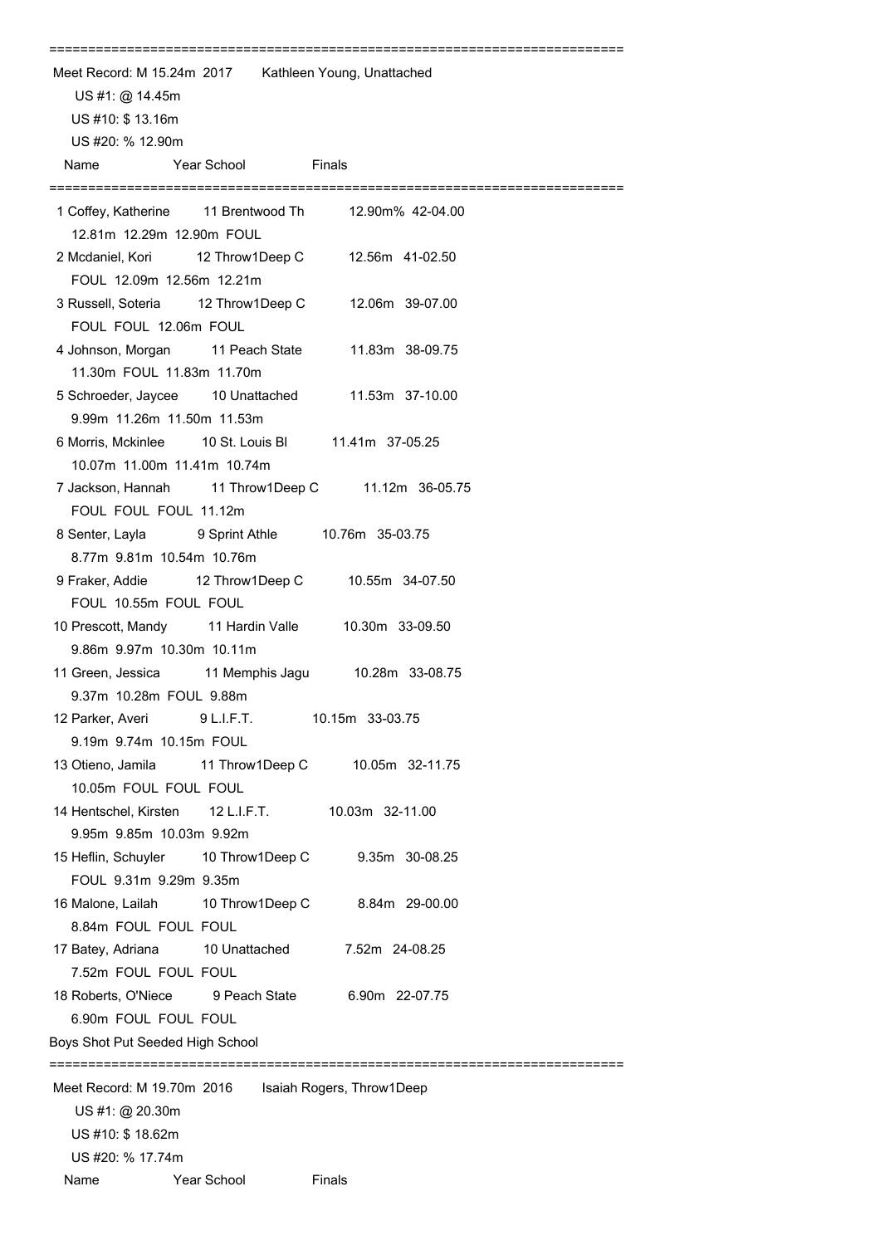| Meet Record: M 15.24m 2017 Kathleen Young, Unattached                                           |
|-------------------------------------------------------------------------------------------------|
| US #1: @ 14.45m                                                                                 |
| US #10: \$13.16m                                                                                |
| US #20: % 12.90m                                                                                |
| Year School Finals<br>Name                                                                      |
| 1 Coffey, Katherine 11 Brentwood Th 12.90m% 42-04.00<br>12.81m 12.29m 12.90m FOUL               |
| 2 Mcdaniel, Kori 12 Throw1Deep C 12.56m 41-02.50<br>FOUL 12.09m 12.56m 12.21m                   |
| 3 Russell, Soteria 12 Throw1Deep C 12.06m 39-07.00<br>FOUL FOUL 12.06m FOUL                     |
| 4 Johnson, Morgan 11 Peach State 11.83m 38-09.75<br>11.30m FOUL 11.83m 11.70m                   |
| 5 Schroeder, Jaycee 10 Unattached 11.53m 37-10.00<br>9.99m 11.26m 11.50m 11.53m                 |
| 6 Morris, Mckinlee 10 St. Louis Bl 11.41m 37-05.25<br>10.07m 11.00m 11.41m 10.74m               |
| 7 Jackson, Hannah 11 Throw1Deep C 11.12m 36-05.75<br>FOUL FOUL FOUL 11.12m                      |
| 8 Senter, Layla 9 Sprint Athle 10.76m 35-03.75<br>8.77m 9.81m 10.54m 10.76m                     |
| 9 Fraker, Addie 12 Throw1Deep C 10.55m 34-07.50<br>FOUL 10.55m FOUL FOUL                        |
| 10 Prescott, Mandy 11 Hardin Valle 10.30m 33-09.50<br>9.86m 9.97m 10.30m 10.11m                 |
| 11 Green, Jessica 11 Memphis Jagu 10.28m 33-08.75<br>9.37m 10.28m FOUL 9.88m                    |
| 12 Parker, Averi 9 L.I.F.T. 10.15m 33-03.75<br>9.19m 9.74m 10.15m FOUL                          |
| 13 Otieno, Jamila 11 Throw1Deep C 10.05m 32-11.75<br>10.05m FOUL FOUL FOUL                      |
| 14 Hentschel, Kirsten 12 L.I.F.T.<br>10.03m 32-11.00<br>9.95m 9.85m 10.03m 9.92m                |
| 15 Heflin, Schuyler 10 Throw1Deep C 9.35m 30-08.25<br>FOUL 9.31m 9.29m 9.35m                    |
| 16 Malone, Lailah 10 Throw1Deep C<br>8.84m 29-00.00<br>8.84m FOUL FOUL FOUL                     |
| 17 Batey, Adriana 10 Unattached<br>7.52m 24-08.25<br>7.52m FOUL FOUL FOUL                       |
| 18 Roberts, O'Niece 9 Peach State<br>6.90m 22-07.75<br>6.90m FOUL FOUL FOUL                     |
| Boys Shot Put Seeded High School                                                                |
| Meet Record: M 19.70m 2016    Isaiah Rogers, Throw1Deep<br>US #1: @ 20.30m<br>US #10: \$ 18.62m |
| US #20: % 17.74m                                                                                |
| <b>Year School</b><br>Name<br>Finals                                                            |

==========================================================================